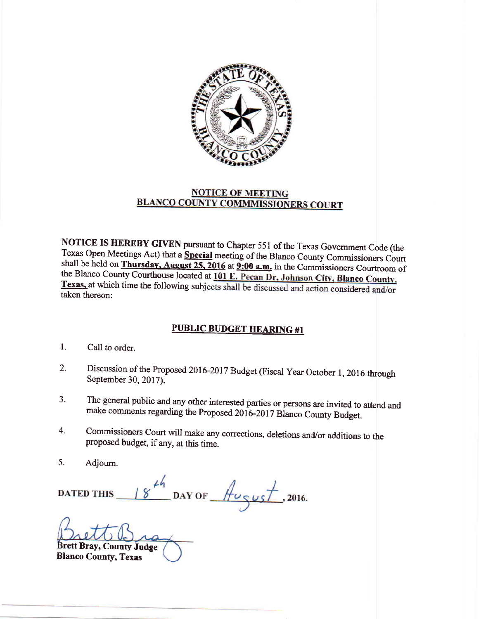

## **NOTICE OF MEETING BLANCO COUNTY COMMMISSIONERS COURT**

NOTICE IS HEREBY GIVEN pursuant to Chapter 551 of the Texas Government Code (the Texas Open Meetings Act) that a Special meeting of the Blanco County Commissioners Court shall be held on Thursday, August 25, 2016 at 9:00 a.m. in the Commissioners Courtroom of the Blanco County Courthouse located at 101 E. Pecan Dr, Johnson City, Blanco County, Texas, at which time the following subjects shall be discussed and action considered and/or taken thereon:

## **PUBLIC BUDGET HEARING #1**

- Call to order. l.
- Discussion of the Proposed 2016-2017 Budget (Fiscal Year October 1, 2016 through September 30, 2017). 2.
- The general public and any other interested parties or persons are invited to attend and make comments regarding the Proposed 2016-2017 Blanco County Budget. a J.
- Commissioners Court will make any corrections, deletions and/or additions to the proposed budget, if any, at this time. 4.
- Adjoum. 5.

DAY OF  $\frac{\textstyle \mu_{\text{CUS}}\textstyle \tau}{\textstyle \mu_{\text{SUS}}}$ , 2016.  $8$ **DATED THIS** 

Brett Bray, County Judge Blanco County, Texas